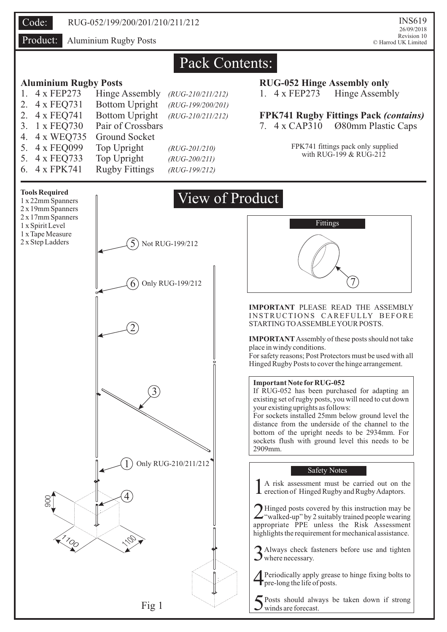